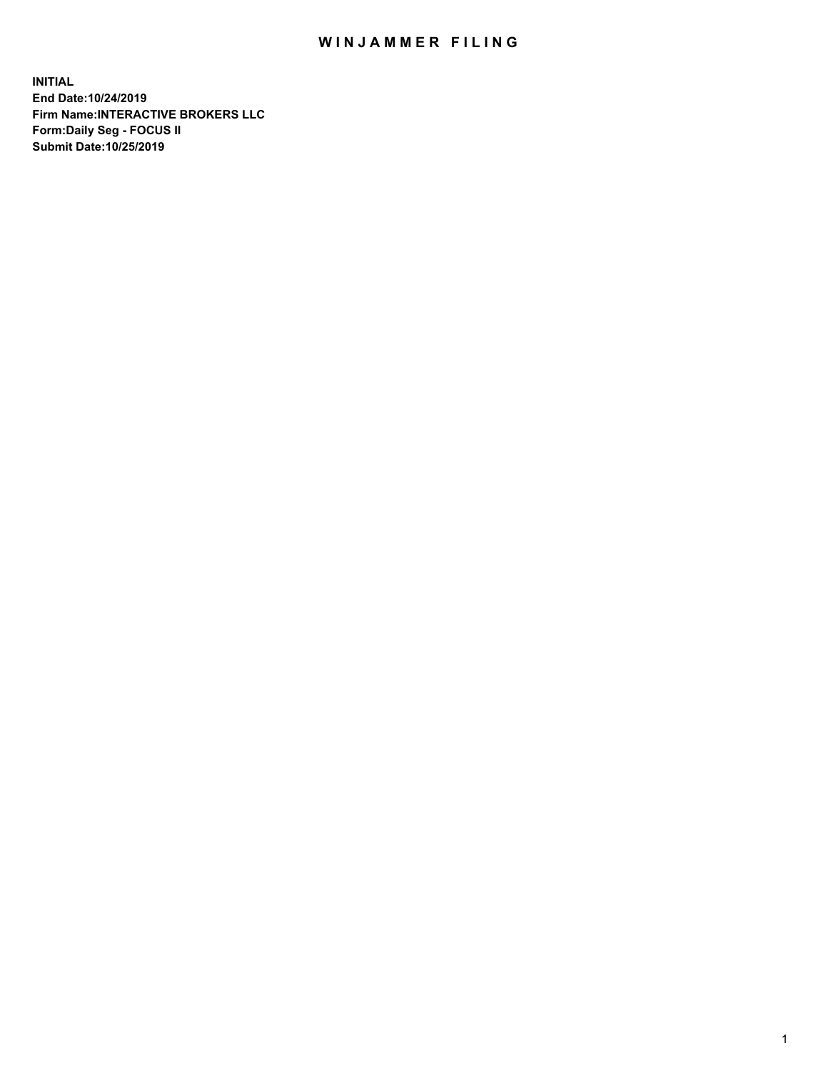## WIN JAMMER FILING

**INITIAL End Date:10/24/2019 Firm Name:INTERACTIVE BROKERS LLC Form:Daily Seg - FOCUS II Submit Date:10/25/2019**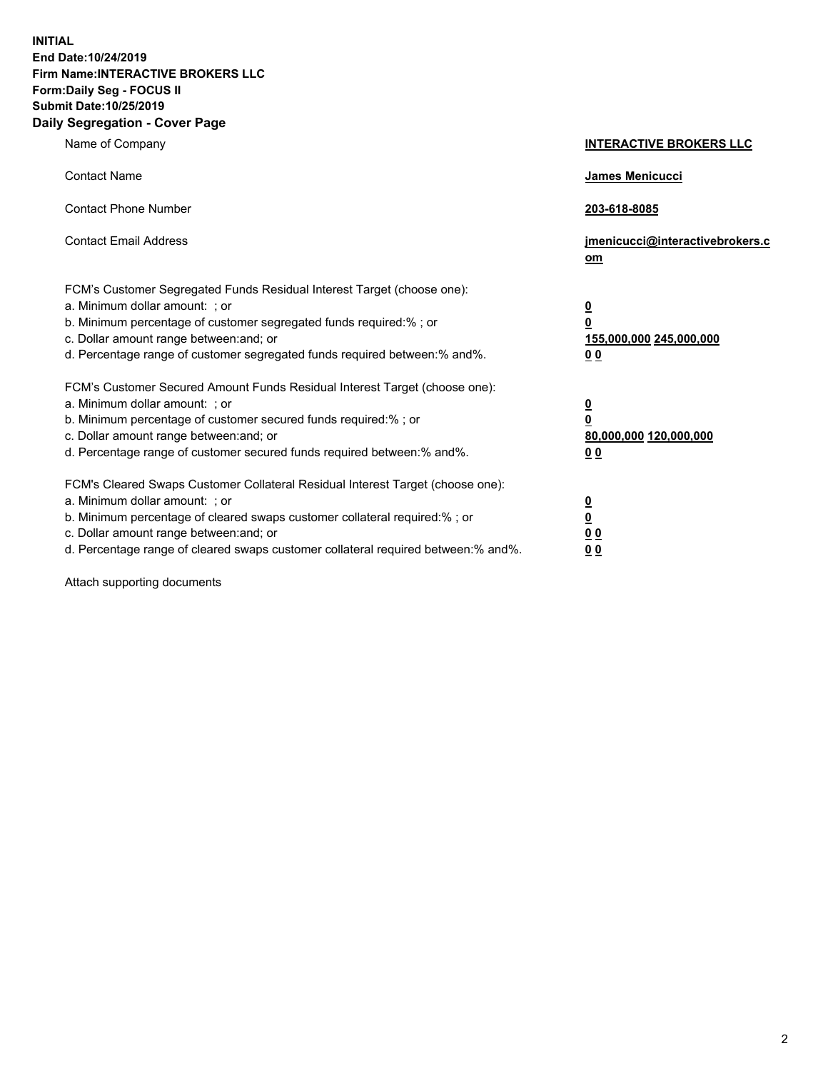**INITIAL End Date:10/24/2019 Firm Name:INTERACTIVE BROKERS LLC Form:Daily Seg - FOCUS II Submit Date:10/25/2019 Daily Segregation - Cover Page**

| Name of Company                                                                                                                                                                                                                                                                                                                | <b>INTERACTIVE BROKERS LLC</b>                                                                  |
|--------------------------------------------------------------------------------------------------------------------------------------------------------------------------------------------------------------------------------------------------------------------------------------------------------------------------------|-------------------------------------------------------------------------------------------------|
| <b>Contact Name</b>                                                                                                                                                                                                                                                                                                            | James Menicucci                                                                                 |
| <b>Contact Phone Number</b>                                                                                                                                                                                                                                                                                                    | 203-618-8085                                                                                    |
| <b>Contact Email Address</b>                                                                                                                                                                                                                                                                                                   | jmenicucci@interactivebrokers.c<br>om                                                           |
| FCM's Customer Segregated Funds Residual Interest Target (choose one):<br>a. Minimum dollar amount: ; or<br>b. Minimum percentage of customer segregated funds required:% ; or<br>c. Dollar amount range between: and; or<br>d. Percentage range of customer segregated funds required between:% and%.                         | $\overline{\mathbf{0}}$<br>$\overline{\mathbf{0}}$<br>155,000,000 245,000,000<br>0 <sub>0</sub> |
| FCM's Customer Secured Amount Funds Residual Interest Target (choose one):<br>a. Minimum dollar amount: ; or<br>b. Minimum percentage of customer secured funds required:%; or<br>c. Dollar amount range between: and; or<br>d. Percentage range of customer secured funds required between:% and%.                            | $\overline{\mathbf{0}}$<br>$\overline{\mathbf{0}}$<br>80,000,000 120,000,000<br>0 <sub>0</sub>  |
| FCM's Cleared Swaps Customer Collateral Residual Interest Target (choose one):<br>a. Minimum dollar amount: ; or<br>b. Minimum percentage of cleared swaps customer collateral required:% ; or<br>c. Dollar amount range between: and; or<br>d. Percentage range of cleared swaps customer collateral required between:% and%. | $\overline{\mathbf{0}}$<br>$\underline{\mathbf{0}}$<br>0 <sub>0</sub><br>0 <sub>0</sub>         |

Attach supporting documents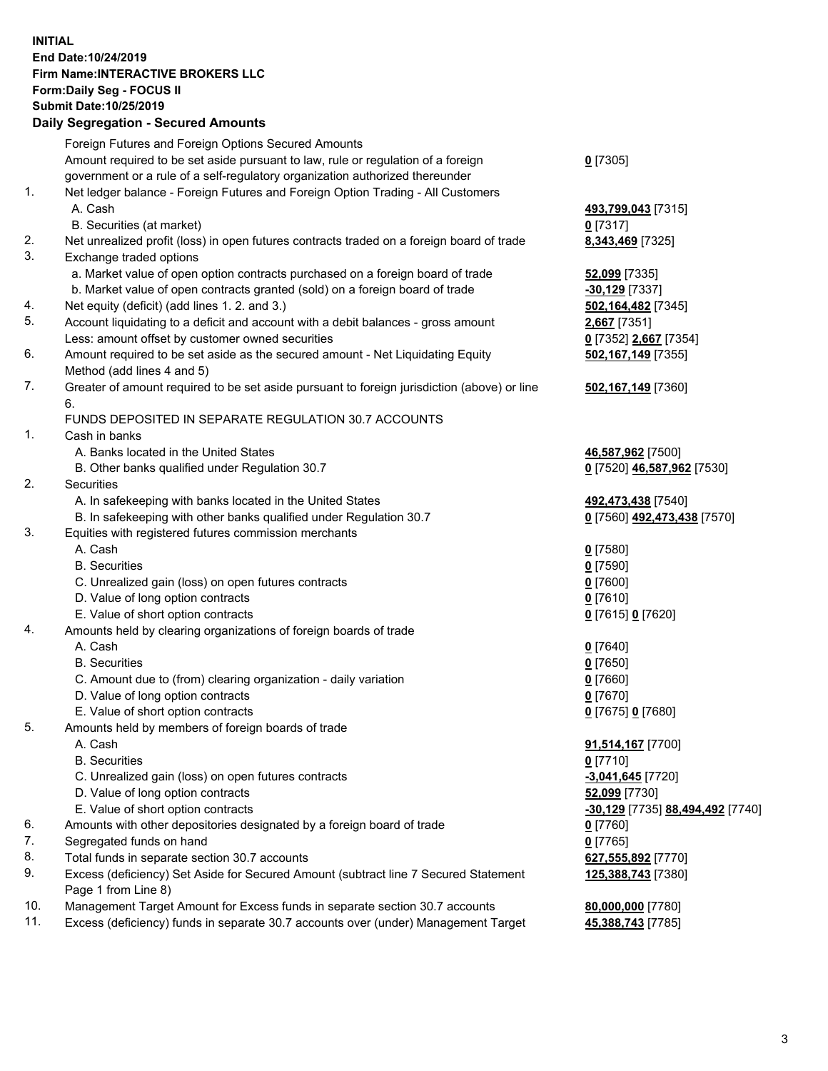## **INITIAL End Date:10/24/2019 Firm Name:INTERACTIVE BROKERS LLC Form:Daily Seg - FOCUS II Submit Date:10/25/2019 Daily Segregation - Secured Amounts**

| Daily Segregation - Secured Aniounts                                                      |                                                                                                                                                                                                                                                                                                                                                                                                                                                                                                                                                                                                                                                                                                                                                                                                                                                                                                                                                                                                                                                                                                                                                                                                                                                                                                                                                                                                                                                                                                                                                                                                                                                    |
|-------------------------------------------------------------------------------------------|----------------------------------------------------------------------------------------------------------------------------------------------------------------------------------------------------------------------------------------------------------------------------------------------------------------------------------------------------------------------------------------------------------------------------------------------------------------------------------------------------------------------------------------------------------------------------------------------------------------------------------------------------------------------------------------------------------------------------------------------------------------------------------------------------------------------------------------------------------------------------------------------------------------------------------------------------------------------------------------------------------------------------------------------------------------------------------------------------------------------------------------------------------------------------------------------------------------------------------------------------------------------------------------------------------------------------------------------------------------------------------------------------------------------------------------------------------------------------------------------------------------------------------------------------------------------------------------------------------------------------------------------------|
| Foreign Futures and Foreign Options Secured Amounts                                       |                                                                                                                                                                                                                                                                                                                                                                                                                                                                                                                                                                                                                                                                                                                                                                                                                                                                                                                                                                                                                                                                                                                                                                                                                                                                                                                                                                                                                                                                                                                                                                                                                                                    |
| Amount required to be set aside pursuant to law, rule or regulation of a foreign          | $0$ [7305]                                                                                                                                                                                                                                                                                                                                                                                                                                                                                                                                                                                                                                                                                                                                                                                                                                                                                                                                                                                                                                                                                                                                                                                                                                                                                                                                                                                                                                                                                                                                                                                                                                         |
| government or a rule of a self-regulatory organization authorized thereunder              |                                                                                                                                                                                                                                                                                                                                                                                                                                                                                                                                                                                                                                                                                                                                                                                                                                                                                                                                                                                                                                                                                                                                                                                                                                                                                                                                                                                                                                                                                                                                                                                                                                                    |
| Net ledger balance - Foreign Futures and Foreign Option Trading - All Customers           |                                                                                                                                                                                                                                                                                                                                                                                                                                                                                                                                                                                                                                                                                                                                                                                                                                                                                                                                                                                                                                                                                                                                                                                                                                                                                                                                                                                                                                                                                                                                                                                                                                                    |
| A. Cash                                                                                   | 493,799,043 [7315]                                                                                                                                                                                                                                                                                                                                                                                                                                                                                                                                                                                                                                                                                                                                                                                                                                                                                                                                                                                                                                                                                                                                                                                                                                                                                                                                                                                                                                                                                                                                                                                                                                 |
| B. Securities (at market)                                                                 | $0$ [7317]                                                                                                                                                                                                                                                                                                                                                                                                                                                                                                                                                                                                                                                                                                                                                                                                                                                                                                                                                                                                                                                                                                                                                                                                                                                                                                                                                                                                                                                                                                                                                                                                                                         |
| Net unrealized profit (loss) in open futures contracts traded on a foreign board of trade | 8,343,469 [7325]                                                                                                                                                                                                                                                                                                                                                                                                                                                                                                                                                                                                                                                                                                                                                                                                                                                                                                                                                                                                                                                                                                                                                                                                                                                                                                                                                                                                                                                                                                                                                                                                                                   |
| Exchange traded options                                                                   |                                                                                                                                                                                                                                                                                                                                                                                                                                                                                                                                                                                                                                                                                                                                                                                                                                                                                                                                                                                                                                                                                                                                                                                                                                                                                                                                                                                                                                                                                                                                                                                                                                                    |
|                                                                                           | 52,099 [7335]                                                                                                                                                                                                                                                                                                                                                                                                                                                                                                                                                                                                                                                                                                                                                                                                                                                                                                                                                                                                                                                                                                                                                                                                                                                                                                                                                                                                                                                                                                                                                                                                                                      |
|                                                                                           | $-30,129$ [7337]                                                                                                                                                                                                                                                                                                                                                                                                                                                                                                                                                                                                                                                                                                                                                                                                                                                                                                                                                                                                                                                                                                                                                                                                                                                                                                                                                                                                                                                                                                                                                                                                                                   |
|                                                                                           | 502,164,482 [7345]                                                                                                                                                                                                                                                                                                                                                                                                                                                                                                                                                                                                                                                                                                                                                                                                                                                                                                                                                                                                                                                                                                                                                                                                                                                                                                                                                                                                                                                                                                                                                                                                                                 |
|                                                                                           | 2,667 [7351]                                                                                                                                                                                                                                                                                                                                                                                                                                                                                                                                                                                                                                                                                                                                                                                                                                                                                                                                                                                                                                                                                                                                                                                                                                                                                                                                                                                                                                                                                                                                                                                                                                       |
|                                                                                           | 0 [7352] 2,667 [7354]                                                                                                                                                                                                                                                                                                                                                                                                                                                                                                                                                                                                                                                                                                                                                                                                                                                                                                                                                                                                                                                                                                                                                                                                                                                                                                                                                                                                                                                                                                                                                                                                                              |
|                                                                                           | 502,167,149 [7355]                                                                                                                                                                                                                                                                                                                                                                                                                                                                                                                                                                                                                                                                                                                                                                                                                                                                                                                                                                                                                                                                                                                                                                                                                                                                                                                                                                                                                                                                                                                                                                                                                                 |
|                                                                                           |                                                                                                                                                                                                                                                                                                                                                                                                                                                                                                                                                                                                                                                                                                                                                                                                                                                                                                                                                                                                                                                                                                                                                                                                                                                                                                                                                                                                                                                                                                                                                                                                                                                    |
| 6.                                                                                        | 502,167,149 [7360]                                                                                                                                                                                                                                                                                                                                                                                                                                                                                                                                                                                                                                                                                                                                                                                                                                                                                                                                                                                                                                                                                                                                                                                                                                                                                                                                                                                                                                                                                                                                                                                                                                 |
| FUNDS DEPOSITED IN SEPARATE REGULATION 30.7 ACCOUNTS                                      |                                                                                                                                                                                                                                                                                                                                                                                                                                                                                                                                                                                                                                                                                                                                                                                                                                                                                                                                                                                                                                                                                                                                                                                                                                                                                                                                                                                                                                                                                                                                                                                                                                                    |
| Cash in banks                                                                             |                                                                                                                                                                                                                                                                                                                                                                                                                                                                                                                                                                                                                                                                                                                                                                                                                                                                                                                                                                                                                                                                                                                                                                                                                                                                                                                                                                                                                                                                                                                                                                                                                                                    |
| A. Banks located in the United States                                                     | 46,587,962 [7500]                                                                                                                                                                                                                                                                                                                                                                                                                                                                                                                                                                                                                                                                                                                                                                                                                                                                                                                                                                                                                                                                                                                                                                                                                                                                                                                                                                                                                                                                                                                                                                                                                                  |
| B. Other banks qualified under Regulation 30.7                                            | 0 [7520] 46,587,962 [7530]                                                                                                                                                                                                                                                                                                                                                                                                                                                                                                                                                                                                                                                                                                                                                                                                                                                                                                                                                                                                                                                                                                                                                                                                                                                                                                                                                                                                                                                                                                                                                                                                                         |
| Securities                                                                                |                                                                                                                                                                                                                                                                                                                                                                                                                                                                                                                                                                                                                                                                                                                                                                                                                                                                                                                                                                                                                                                                                                                                                                                                                                                                                                                                                                                                                                                                                                                                                                                                                                                    |
| A. In safekeeping with banks located in the United States                                 | 492,473,438 [7540]                                                                                                                                                                                                                                                                                                                                                                                                                                                                                                                                                                                                                                                                                                                                                                                                                                                                                                                                                                                                                                                                                                                                                                                                                                                                                                                                                                                                                                                                                                                                                                                                                                 |
|                                                                                           | 0 [7560] 492,473,438 [7570]                                                                                                                                                                                                                                                                                                                                                                                                                                                                                                                                                                                                                                                                                                                                                                                                                                                                                                                                                                                                                                                                                                                                                                                                                                                                                                                                                                                                                                                                                                                                                                                                                        |
| Equities with registered futures commission merchants                                     |                                                                                                                                                                                                                                                                                                                                                                                                                                                                                                                                                                                                                                                                                                                                                                                                                                                                                                                                                                                                                                                                                                                                                                                                                                                                                                                                                                                                                                                                                                                                                                                                                                                    |
| A. Cash                                                                                   | $0$ [7580]                                                                                                                                                                                                                                                                                                                                                                                                                                                                                                                                                                                                                                                                                                                                                                                                                                                                                                                                                                                                                                                                                                                                                                                                                                                                                                                                                                                                                                                                                                                                                                                                                                         |
| <b>B.</b> Securities                                                                      | $0$ [7590]                                                                                                                                                                                                                                                                                                                                                                                                                                                                                                                                                                                                                                                                                                                                                                                                                                                                                                                                                                                                                                                                                                                                                                                                                                                                                                                                                                                                                                                                                                                                                                                                                                         |
| C. Unrealized gain (loss) on open futures contracts                                       | $0$ [7600]                                                                                                                                                                                                                                                                                                                                                                                                                                                                                                                                                                                                                                                                                                                                                                                                                                                                                                                                                                                                                                                                                                                                                                                                                                                                                                                                                                                                                                                                                                                                                                                                                                         |
|                                                                                           | $0$ [7610]                                                                                                                                                                                                                                                                                                                                                                                                                                                                                                                                                                                                                                                                                                                                                                                                                                                                                                                                                                                                                                                                                                                                                                                                                                                                                                                                                                                                                                                                                                                                                                                                                                         |
|                                                                                           | 0 [7615] 0 [7620]                                                                                                                                                                                                                                                                                                                                                                                                                                                                                                                                                                                                                                                                                                                                                                                                                                                                                                                                                                                                                                                                                                                                                                                                                                                                                                                                                                                                                                                                                                                                                                                                                                  |
|                                                                                           |                                                                                                                                                                                                                                                                                                                                                                                                                                                                                                                                                                                                                                                                                                                                                                                                                                                                                                                                                                                                                                                                                                                                                                                                                                                                                                                                                                                                                                                                                                                                                                                                                                                    |
|                                                                                           | $0$ [7640]                                                                                                                                                                                                                                                                                                                                                                                                                                                                                                                                                                                                                                                                                                                                                                                                                                                                                                                                                                                                                                                                                                                                                                                                                                                                                                                                                                                                                                                                                                                                                                                                                                         |
|                                                                                           | $0$ [7650]                                                                                                                                                                                                                                                                                                                                                                                                                                                                                                                                                                                                                                                                                                                                                                                                                                                                                                                                                                                                                                                                                                                                                                                                                                                                                                                                                                                                                                                                                                                                                                                                                                         |
|                                                                                           | $0$ [7660]                                                                                                                                                                                                                                                                                                                                                                                                                                                                                                                                                                                                                                                                                                                                                                                                                                                                                                                                                                                                                                                                                                                                                                                                                                                                                                                                                                                                                                                                                                                                                                                                                                         |
|                                                                                           | $0$ [7670]                                                                                                                                                                                                                                                                                                                                                                                                                                                                                                                                                                                                                                                                                                                                                                                                                                                                                                                                                                                                                                                                                                                                                                                                                                                                                                                                                                                                                                                                                                                                                                                                                                         |
|                                                                                           | 0 [7675] 0 [7680]                                                                                                                                                                                                                                                                                                                                                                                                                                                                                                                                                                                                                                                                                                                                                                                                                                                                                                                                                                                                                                                                                                                                                                                                                                                                                                                                                                                                                                                                                                                                                                                                                                  |
|                                                                                           |                                                                                                                                                                                                                                                                                                                                                                                                                                                                                                                                                                                                                                                                                                                                                                                                                                                                                                                                                                                                                                                                                                                                                                                                                                                                                                                                                                                                                                                                                                                                                                                                                                                    |
|                                                                                           | 91,514,167 [7700]                                                                                                                                                                                                                                                                                                                                                                                                                                                                                                                                                                                                                                                                                                                                                                                                                                                                                                                                                                                                                                                                                                                                                                                                                                                                                                                                                                                                                                                                                                                                                                                                                                  |
|                                                                                           | $0$ [7710]                                                                                                                                                                                                                                                                                                                                                                                                                                                                                                                                                                                                                                                                                                                                                                                                                                                                                                                                                                                                                                                                                                                                                                                                                                                                                                                                                                                                                                                                                                                                                                                                                                         |
|                                                                                           | $-3,041,645$ [7720]                                                                                                                                                                                                                                                                                                                                                                                                                                                                                                                                                                                                                                                                                                                                                                                                                                                                                                                                                                                                                                                                                                                                                                                                                                                                                                                                                                                                                                                                                                                                                                                                                                |
|                                                                                           | 52,099 [7730]                                                                                                                                                                                                                                                                                                                                                                                                                                                                                                                                                                                                                                                                                                                                                                                                                                                                                                                                                                                                                                                                                                                                                                                                                                                                                                                                                                                                                                                                                                                                                                                                                                      |
|                                                                                           | -30,129 [7735] 88,494,492 [7740]                                                                                                                                                                                                                                                                                                                                                                                                                                                                                                                                                                                                                                                                                                                                                                                                                                                                                                                                                                                                                                                                                                                                                                                                                                                                                                                                                                                                                                                                                                                                                                                                                   |
|                                                                                           | $0$ [7760]                                                                                                                                                                                                                                                                                                                                                                                                                                                                                                                                                                                                                                                                                                                                                                                                                                                                                                                                                                                                                                                                                                                                                                                                                                                                                                                                                                                                                                                                                                                                                                                                                                         |
|                                                                                           | $0$ [7765]                                                                                                                                                                                                                                                                                                                                                                                                                                                                                                                                                                                                                                                                                                                                                                                                                                                                                                                                                                                                                                                                                                                                                                                                                                                                                                                                                                                                                                                                                                                                                                                                                                         |
|                                                                                           | 627,555,892 [7770]                                                                                                                                                                                                                                                                                                                                                                                                                                                                                                                                                                                                                                                                                                                                                                                                                                                                                                                                                                                                                                                                                                                                                                                                                                                                                                                                                                                                                                                                                                                                                                                                                                 |
|                                                                                           | 125,388,743 [7380]                                                                                                                                                                                                                                                                                                                                                                                                                                                                                                                                                                                                                                                                                                                                                                                                                                                                                                                                                                                                                                                                                                                                                                                                                                                                                                                                                                                                                                                                                                                                                                                                                                 |
|                                                                                           |                                                                                                                                                                                                                                                                                                                                                                                                                                                                                                                                                                                                                                                                                                                                                                                                                                                                                                                                                                                                                                                                                                                                                                                                                                                                                                                                                                                                                                                                                                                                                                                                                                                    |
|                                                                                           | 80,000,000 [7780]                                                                                                                                                                                                                                                                                                                                                                                                                                                                                                                                                                                                                                                                                                                                                                                                                                                                                                                                                                                                                                                                                                                                                                                                                                                                                                                                                                                                                                                                                                                                                                                                                                  |
|                                                                                           | 45,388,743 [7785]                                                                                                                                                                                                                                                                                                                                                                                                                                                                                                                                                                                                                                                                                                                                                                                                                                                                                                                                                                                                                                                                                                                                                                                                                                                                                                                                                                                                                                                                                                                                                                                                                                  |
|                                                                                           | a. Market value of open option contracts purchased on a foreign board of trade<br>b. Market value of open contracts granted (sold) on a foreign board of trade<br>Net equity (deficit) (add lines 1.2. and 3.)<br>Account liquidating to a deficit and account with a debit balances - gross amount<br>Less: amount offset by customer owned securities<br>Amount required to be set aside as the secured amount - Net Liquidating Equity<br>Method (add lines 4 and 5)<br>Greater of amount required to be set aside pursuant to foreign jurisdiction (above) or line<br>B. In safekeeping with other banks qualified under Regulation 30.7<br>D. Value of long option contracts<br>E. Value of short option contracts<br>Amounts held by clearing organizations of foreign boards of trade<br>A. Cash<br><b>B.</b> Securities<br>C. Amount due to (from) clearing organization - daily variation<br>D. Value of long option contracts<br>E. Value of short option contracts<br>Amounts held by members of foreign boards of trade<br>A. Cash<br><b>B.</b> Securities<br>C. Unrealized gain (loss) on open futures contracts<br>D. Value of long option contracts<br>E. Value of short option contracts<br>Amounts with other depositories designated by a foreign board of trade<br>Segregated funds on hand<br>Total funds in separate section 30.7 accounts<br>Excess (deficiency) Set Aside for Secured Amount (subtract line 7 Secured Statement<br>Page 1 from Line 8)<br>Management Target Amount for Excess funds in separate section 30.7 accounts<br>Excess (deficiency) funds in separate 30.7 accounts over (under) Management Target |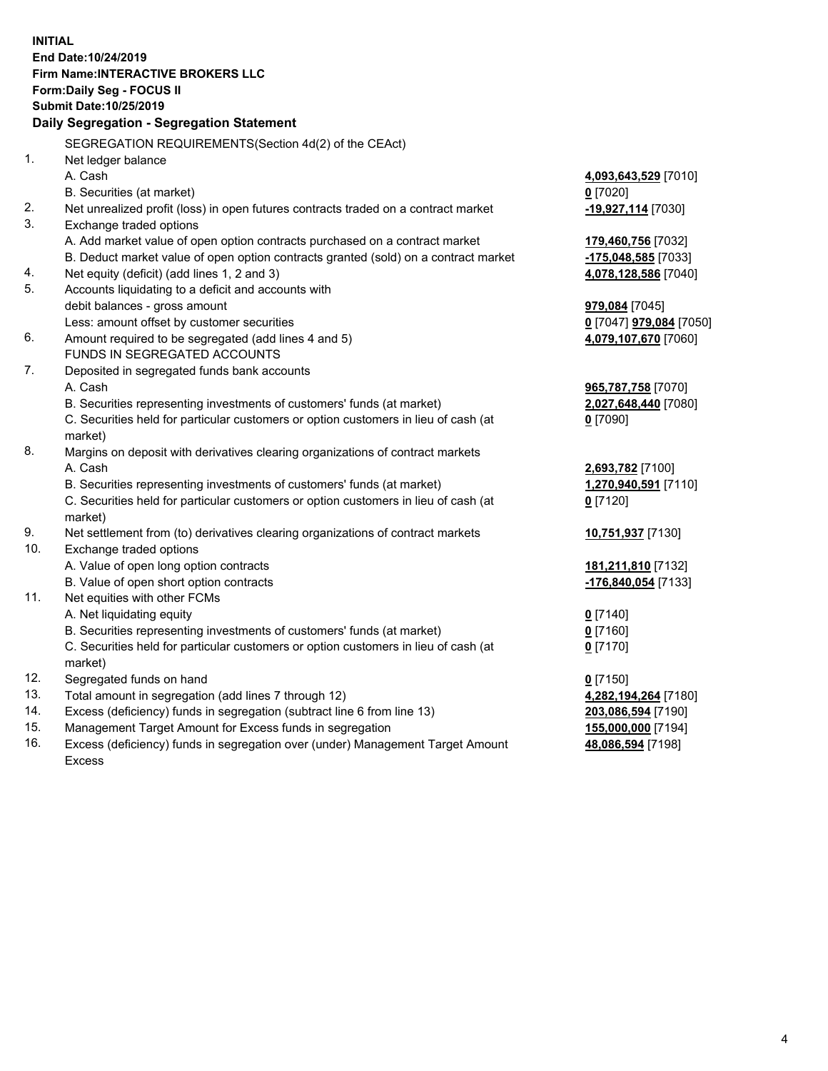**INITIAL End Date:10/24/2019 Firm Name:INTERACTIVE BROKERS LLC Form:Daily Seg - FOCUS II Submit Date:10/25/2019 Daily Segregation - Segregation Statement** SEGREGATION REQUIREMENTS(Section 4d(2) of the CEAct) 1. Net ledger balance A. Cash **4,093,643,529** [7010] B. Securities (at market) **0** [7020] 2. Net unrealized profit (loss) in open futures contracts traded on a contract market **-19,927,114** [7030] 3. Exchange traded options A. Add market value of open option contracts purchased on a contract market **179,460,756** [7032] B. Deduct market value of open option contracts granted (sold) on a contract market **-175,048,585** [7033] 4. Net equity (deficit) (add lines 1, 2 and 3) **4,078,128,586** [7040] 5. Accounts liquidating to a deficit and accounts with debit balances - gross amount **979,084** [7045] Less: amount offset by customer securities **0** [7047] **979,084** [7050] 6. Amount required to be segregated (add lines 4 and 5) **4,079,107,670** [7060] FUNDS IN SEGREGATED ACCOUNTS 7. Deposited in segregated funds bank accounts A. Cash **965,787,758** [7070] B. Securities representing investments of customers' funds (at market) **2,027,648,440** [7080] C. Securities held for particular customers or option customers in lieu of cash (at market) **0** [7090] 8. Margins on deposit with derivatives clearing organizations of contract markets A. Cash **2,693,782** [7100] B. Securities representing investments of customers' funds (at market) **1,270,940,591** [7110] C. Securities held for particular customers or option customers in lieu of cash (at market) **0** [7120] 9. Net settlement from (to) derivatives clearing organizations of contract markets **10,751,937** [7130] 10. Exchange traded options A. Value of open long option contracts **181,211,810** [7132] B. Value of open short option contracts **-176,840,054** [7133] 11. Net equities with other FCMs A. Net liquidating equity **0** [7140] B. Securities representing investments of customers' funds (at market) **0** [7160] C. Securities held for particular customers or option customers in lieu of cash (at market) **0** [7170] 12. Segregated funds on hand **0** [7150] 13. Total amount in segregation (add lines 7 through 12) **4,282,194,264** [7180] 14. Excess (deficiency) funds in segregation (subtract line 6 from line 13) **203,086,594** [7190] 15. Management Target Amount for Excess funds in segregation **155,000,000** [7194] **48,086,594** [7198]

16. Excess (deficiency) funds in segregation over (under) Management Target Amount Excess